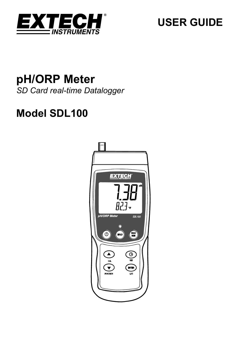

# **USER GUIDE**

# **pH/ORP Meter**  *SD Card real-time Datalogger*

# **Model SDL100**

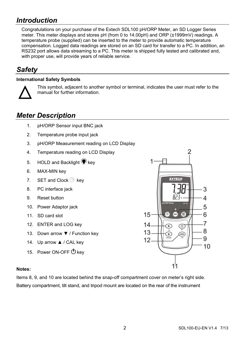# *Introduction*

Congratulations on your purchase of the Extech SDL100 pH/ORP Meter, an SD Logger Series meter. This meter displays and stores pH (from 0 to 14.00pH) and ORP (±1999mV) readings. A temperature probe (supplied) can be inserted to the meter to provide automatic temperature compensation. Logged data readings are stored on an SD card for transfer to a PC. In addition, an RS232 port allows data streaming to a PC. This meter is shipped fully tested and calibrated and, with proper use, will provide years of reliable service.

# *Safety*

### **International Safety Symbols**



This symbol, adjacent to another symbol or terminal, indicates the user must refer to the manual for further information.

# *Meter Description*

- 1. pH/ORP Sensor input BNC jack
- 2. Temperature probe input jack
- 3. pH/ORP Measurement reading on LCD Display
- 4. Temperature reading on LCD Display
- 5. HOLD and Backlight  $\ddot{\ddot{\bullet}}$  key
- 6. MAX-MIN key
- 7. SET and Clock  $\Theta$  key
- 8. PC interface jack
- 9. Reset button
- 10. Power Adaptor jack
- 11. SD card slot
- 12. ENTER and LOG key
- 13. Down arrow ▼ / Function key
- 14. Up arrow ▲ / CAL key
- 15. Power ON-OFF  $\Phi$  key



#### **Notes:**

Items 8, 9, and 10 are located behind the snap-off compartment cover on meter's right side. Battery compartment, tilt stand, and tripod mount are located on the rear of the instrument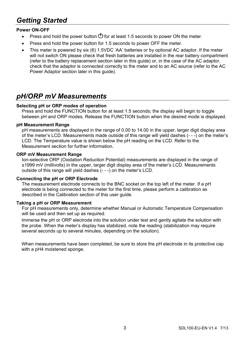# *Getting Started*

### **Power ON-OFF**

- Press and hold the power button  $\bigcirc$  for at least 1.5 seconds to power ON the meter.
- Press and hold the power button for 1.5 seconds to power OFF the meter.
- This meter is powered by six (6) 1.5VDC 'AA' batteries or by optional AC adaptor. If the meter will not switch ON please check that fresh batteries are installed in the rear battery compartment (refer to the battery replacement section later in this guide) or, in the case of the AC adaptor, check that the adaptor is connected correctly to the meter and to an AC source (refer to the AC Power Adaptor section later in this guide).

# *pH/ORP mV Measurements*

#### **Selecting pH or ORP modes of operation**

Press and hold the FUNCTION button for at least 1.5 seconds; the display will begin to toggle between pH and ORP modes. Release the FUNCTION button when the desired mode is displayed.

#### **pH Measurement Range**

pH measurements are displayed in the range of 0.00 to 14.00 in the upper, larger digit display area of the meter's LCD. Measurements made outside of this range will yield dashes (- - -) on the meter's LCD. The Temperature value is shown below the pH reading on the LCD. Refer to the Measurement section for further information.

#### **ORP mV Measurement Range**

Ion-selective ORP (Oxidation Reduction Potential) measurements are displayed in the range of ±1999 mV (millivolts) in the upper, larger digit display area of the meter's LCD. Measurements outside of this range will yield dashes (- - -) on the meter's LCD.

#### **Connecting the pH or ORP Electrode**

The measurement electrode connects to the BNC socket on the top left of the meter. If a pH electrode is being connected to the meter for the first time, please perform a calibration as described in the Calibration section of this user guide.

#### **Taking a pH or ORP Measurement**

For pH measurements only, determine whether Manual or Automatic Temperature Compensation will be used and then set up as required.

Immerse the pH or ORP electrode into the solution under test and gently agitate the solution with the probe. When the meter's display has stabilized, note the reading (stabilization may require several seconds up to several minutes, depending on the solution).

When measurements have been completed, be sure to store the pH electrode in its protective cap with a pH4 moistened sponge.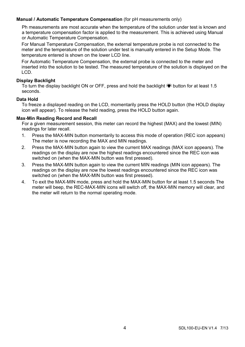#### **Manual / Automatic Temperature Compensation** (for pH measurements only)

Ph measurements are most accurate when the temperature of the solution under test is known and a temperature compensation factor is applied to the measurement. This is achieved using Manual or Automatic Temperature Compensation.

For Manual Temperature Compensation, the external temperature probe is not connected to the meter and the temperature of the solution under test is manually entered in the Setup Mode. The temperature entered is shown on the lower LCD line.

For Automatic Temperature Compensation, the external probe is connected to the meter and inserted into the solution to be tested. The measured temperature of the solution is displayed on the LCD.

#### **Display Backlight**

To turn the display backlight ON or OFF, press and hold the backlight  $\ddot{\bullet}$  button for at least 1.5 seconds.

#### **Data Hold**

To freeze a displayed reading on the LCD, momentarily press the HOLD button (the HOLD display icon will appear). To release the held reading, press the HOLD button again.

#### **Max-Min Reading Record and Recall**

For a given measurement session, this meter can record the highest (MAX) and the lowest (MIN) readings for later recall.

- 1. Press the MAX-MIN button momentarily to access this mode of operation (REC icon appears) The meter is now recording the MAX and MIN readings.
- 2. Press the MAX-MIN button again to view the current MAX readings (MAX icon appears). The readings on the display are now the highest readings encountered since the REC icon was switched on (when the MAX-MIN button was first pressed).
- 3. Press the MAX-MIN button again to view the current MIN readings (MIN icon appears). The readings on the display are now the lowest readings encountered since the REC icon was switched on (when the MAX-MIN button was first pressed).
- 4. To exit the MAX-MIN mode, press and hold the MAX-MIN button for at least 1.5 seconds The meter will beep, the REC-MAX-MIN icons will switch off, the MAX-MIN memory will clear, and the meter will return to the normal operating mode.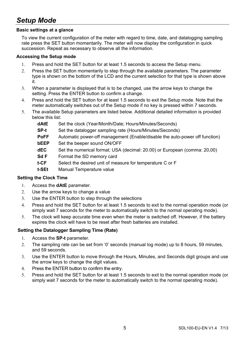# *Setup Mode*

### **Basic settings at a glance**

To view the current configuration of the meter with regard to time, date, and datalogging sampling rate press the SET button momentarily. The meter will now display the configuration in quick succession. Repeat as necessary to observe all the information.

### **Accessing the Setup mode**

- 1. Press and hold the SET button for at least 1.5 seconds to access the Setup menu.
- 2. Press the SET button momentarily to step through the available parameters. The parameter type is shown on the bottom of the LCD and the current selection for that type is shown above it.
- 3. When a parameter is displayed that is to be changed, use the arrow keys to change the setting. Press the ENTER button to confirm a change.
- 4. Press and hold the SET button for at least 1.5 seconds to exit the Setup mode. Note that the meter automatically switches out of the Setup mode if no key is pressed within 7 seconds.
- 5. The available Setup parameters are listed below. Additional detailed information is provided below this list:
	- **dAtE** Set the clock (Year/Month/Date; Hours/Minutes/Seconds)
	- **SP-t** Set the datalogger sampling rate (Hours/Minutes/Seconds)
	- **PoFF** Automatic power-off management (Enable/disable the auto-power off function)
	- **bEEP** Set the beeper sound ON/OFF
	- **dEC** Set the numerical format; USA (decimal: 20.00) or European (comma: 20,00)
	- **Sd F** Format the SD memory card
	- **t-CF** Select the desired unit of measure for temperature C or F
	- **t-SEt** Manual Temperature value

#### **Setting the Clock Time**

- 1. Access the **dAtE** parameter.
- 2. Use the arrow keys to change a value
- 3. Use the ENTER button to step through the selections
- 4. Press and hold the SET button for at least 1.5 seconds to exit to the normal operation mode (or simply wait 7 seconds for the meter to automatically switch to the normal operating mode).
- 5. The clock will keep accurate time even when the meter is switched off. However, if the battery expires the clock will have to be reset after fresh batteries are installed.

### **Setting the Datalogger Sampling Time (Rate)**

- 1. Access the **SP-t** parameter.
- 2. The sampling rate can be set from '0' seconds (manual log mode) up to 8 hours, 59 minutes, and 59 seconds.
- 3. Use the ENTER button to move through the Hours, Minutes, and Seconds digit groups and use the arrow keys to change the digit values.
- 4. Press the ENTER button to confirm the entry.
- 5. Press and hold the SET button for at least 1.5 seconds to exit to the normal operation mode (or simply wait 7 seconds for the meter to automatically switch to the normal operating mode).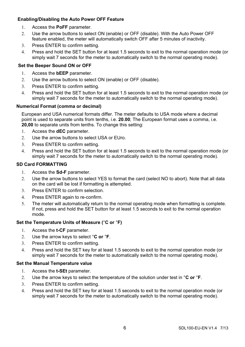### **Enabling/Disabling the Auto Power OFF Feature**

- 1. Access the **PoFF** parameter.
- 2. Use the arrow buttons to select ON (enable) or OFF (disable). With the Auto Power OFF feature enabled, the meter will automatically switch OFF after 5 minutes of inactivity.
- 3. Press ENTER to confirm setting.
- 4. Press and hold the SET button for at least 1.5 seconds to exit to the normal operation mode (or simply wait 7 seconds for the meter to automatically switch to the normal operating mode).

#### **Set the Beeper Sound ON or OFF**

- 1. Access the **bEEP** parameter.
- 2. Use the arrow buttons to select ON (enable) or OFF (disable).
- 3. Press ENTER to confirm setting.
- 4. Press and hold the SET button for at least 1.5 seconds to exit to the normal operation mode (or simply wait 7 seconds for the meter to automatically switch to the normal operating mode).

#### **Numerical Format (comma or decimal)**

European and USA numerical formats differ. The meter defaults to USA mode where a decimal point is used to separate units from tenths, i.e. **20.00**; The European format uses a comma, i.e. **20,00** to separate units from tenths. To change this setting:

- 1. Access the **dEC** parameter.
- 2. Use the arrow buttons to select USA or EUro.
- 3. Press ENTER to confirm setting.
- 4. Press and hold the SET button for at least 1.5 seconds to exit to the normal operation mode (or simply wait 7 seconds for the meter to automatically switch to the normal operating mode).

#### **SD Card FORMATTING**

- 1. Access the **Sd-F** parameter.
- 2. Use the arrow buttons to select YES to format the card (select NO to abort). Note that all data on the card will be lost if formatting is attempted.
- 3. Press ENTER to confirm selection.
- 4. Press ENTER again to re-confirm.
- 5. The meter will automatically return to the normal operating mode when formatting is complete. If not, press and hold the SET button for at least 1.5 seconds to exit to the normal operation mode.

#### **Set the Temperature Units of Measure (**°**C or** °**F)**

- 1. Access the **t-CF** parameter.
- 2. Use the arrow keys to select °**C or** °**F**.
- 3. Press ENTER to confirm setting.
- 4. Press and hold the SET key for at least 1.5 seconds to exit to the normal operation mode (or simply wait 7 seconds for the meter to automatically switch to the normal operating mode).

#### **Set the Manual Temperature value**

- 1. Access the **t-SEt** parameter.
- 2. Use the arrow keys to select the temperature of the solution under test in °**C or** °**F**.
- 3. Press ENTER to confirm setting.
- 4. Press and hold the SET key for at least 1.5 seconds to exit to the normal operation mode (or simply wait 7 seconds for the meter to automatically switch to the normal operating mode).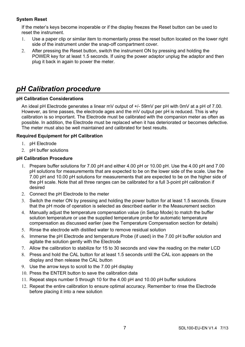### **System Reset**

If the meter's keys become inoperable or if the display freezes the Reset button can be used to reset the instrument.

- 1. Use a paper clip or similar item to momentarily press the reset button located on the lower right side of the instrument under the snap-off compartment cover.
- 2. After pressing the Reset button, switch the instrument ON by pressing and holding the POWER key for at least 1.5 seconds. If using the power adaptor unplug the adaptor and then plug it back in again to power the meter.

# *pH Calibration procedure*

### **pH Calibration Considerations**

An ideal pH Electrode generates a linear mV output of +/- 59mV per pH with 0mV at a pH of 7.00. However, as time passes, the electrode ages and the mV output per pH is reduced. This is why calibration is so important. The Electrode must be calibrated with the companion meter as often as possible. In addition, the Electrode must be replaced when it has deteriorated or becomes defective. The meter must also be well maintained and calibrated for best results.

#### **Required Equipment for pH Calibration**

- 1. pH Electrode
- 2. pH buffer solutions

#### **pH Calibration Procedure**

- 1. Prepare buffer solutions for 7.00 pH and either 4.00 pH or 10.00 pH. Use the 4.00 pH and 7.00 pH solutions for measurements that are expected to be on the lower side of the scale. Use the 7.00 pH and 10.00 pH solutions for measurements that are expected to be on the higher side of the pH scale. Note that all three ranges can be calibrated for a full 3-point pH calibration if desired
- 2. Connect the pH Electrode to the meter
- 3. Switch the meter ON by pressing and holding the power button for at least 1.5 seconds. Ensure that the pH mode of operation is selected as described earlier in the Measurement section
- 4. Manually adjust the temperature compensation value (in Setup Mode) to match the buffer solution temperature or use the supplied temperature probe for automatic temperature compensation as discussed earlier (see the Temperature Compensation section for details)
- 5. Rinse the electrode with distilled water to remove residual solution
- 6. Immerse the pH Electrode and temperature Probe (if used) in the 7.00 pH buffer solution and agitate the solution gently with the Electrode
- 7. Allow the calibration to stabilize for 15 to 30 seconds and view the reading on the meter LCD
- 8. Press and hold the CAL button for at least 1.5 seconds until the CAL icon appears on the display and then release the CAL button
- 9. Use the arrow keys to scroll to the 7.00 pH display
- 10. Press the ENTER button to save the calibration data
- 11. Repeat steps number 5 through 10 for the 4.00 pH and 10.00 pH buffer solutions
- 12. Repeat the entire calibration to ensure optimal accuracy. Remember to rinse the Electrode before placing it into a new solution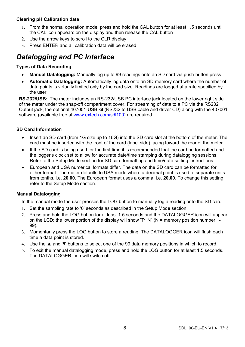### **Clearing pH Calibration data**

- 1. From the normal operation mode, press and hold the CAL button for at least 1.5 seconds until the CAL icon appears on the display and then release the CAL button
- 2. Use the arrow keys to scroll to the CLR display
- 3. Press ENTER and all calibration data will be erased

# *Datalogging and PC Interface*

#### **Types of Data Recording**

- **Manual Datalogging:** Manually log up to 99 readings onto an SD card via push-button press.
- **Automatic Datalogging:** Automatically log data onto an SD memory card where the number of data points is virtually limited only by the card size. Readings are logged at a rate specified by the user.

**RS-232/USB:** The meter includes an RS-232/USB PC interface jack located on the lower right side of the meter under the snap-off compartment cover. For streaming of data to a PC via the RS232 Output jack, the optional 407001-USB kit (RS232 to USB cable and driver CD) along with the 407001 software (available free at www.extech.com/sdl100) are required.

#### **SD Card Information**

- Insert an SD card (from 1G size up to 16G) into the SD card slot at the bottom of the meter. The card must be inserted with the front of the card (label side) facing toward the rear of the meter.
- If the SD card is being used for the first time it is recommended that the card be formatted and the logger's clock set to allow for accurate date/time stamping during datalogging sessions. Refer to the Setup Mode section for SD card formatting and time/date setting instructions.
- European and USA numerical formats differ. The data on the SD card can be formatted for either format. The meter defaults to USA mode where a decimal point is used to separate units from tenths, i.e. **20.00**. The European format uses a comma, i.e. **20,00**. To change this setting, refer to the Setup Mode section.

#### **Manual Datalogging**

In the manual mode the user presses the LOG button to manually log a reading onto the SD card.

- 1. Set the sampling rate to '0' seconds as described in the Setup Mode section.
- 2. Press and hold the LOG button for at least 1.5 seconds and the DATALOGGER icon will appear on the LCD; the lower portion of the display will show "P  $N$ " (N = memory position number 1-99).
- 3. Momentarily press the LOG button to store a reading. The DATALOGGER icon will flash each time a data point is stored.
- 4. Use the ▲ and ▼ buttons to select one of the 99 data memory positions in which to record.
- 5. To exit the manual datalogging mode, press and hold the LOG button for at least 1.5 seconds. The DATALOGGER icon will switch off.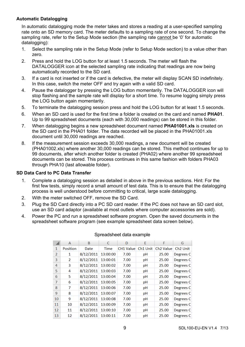### **Automatic Datalogging**

In automatic datalogging mode the meter takes and stores a reading at a user-specified sampling rate onto an SD memory card. The meter defaults to a sampling rate of one second. To change the sampling rate, refer to the Setup Mode section (the sampling rate cannot be '0' for automatic datalogging):

- 1. Select the sampling rate in the Setup Mode (refer to Setup Mode section) to a value other than zero.
- 2. Press and hold the LOG button for at least 1.5 seconds. The meter will flash the DATALOGGER icon at the selected sampling rate indicating that readings are now being automatically recorded to the SD card.
- 3. If a card is not inserted or if the card is defective, the meter will display SCAN SD indefinitely. In this case, switch the meter OFF and try again with a valid SD card.
- 4. Pause the datalogger by pressing the LOG button momentarily. The DATALOGGER icon will stop flashing and the sample rate will display for a short time. To resume logging simply press the LOG button again momentarily.
- 5. To terminate the datalogging session press and hold the LOG button for at least 1.5 seconds.
- 6. When an SD card is used for the first time a folder is created on the card and named **PHA01**. Up to 99 spreadsheet documents (each with 30,000 readings) can be stored in this folder.
- 7. When datalogging begins a new spreadsheet document named **PHA01001.xls** is created on the SD card in the PHA01 folder. The data recorded will be placed in the PHA01001.xls document until 30,000 readings are reached.
- 8. If the measurement session exceeds 30,000 readings, a new document will be created (PHA01002.xls) where another 30,000 readings can be stored. This method continues for up to 99 documents, after which another folder is created (PHA02) where another 99 spreadsheet documents can be stored. This process continues in this same fashion with folders PHA03 through PHA10 (last allowable folder).

### **SD Data Card to PC Data Transfer**

- 1. Complete a datalogging session as detailed in above in the previous sections. Hint: For the first few tests, simply record a small amount of test data. This is to ensure that the datalogging process is well understood before committing to critical, large scale datalogging.
- 2. With the meter switched OFF, remove the SD Card.
- 3. Plug the SD Card directly into a PC SD card reader. If the PC does not have an SD card slot, use an SD card adaptor (available at most outlets where computer accessories are sold).
- 4. Power the PC and run a spreadsheet software program. Open the saved documents in the spreadsheet software program (see example spreadsheet data screen below).

|               | A                        | B         | C           | D                | F        | F                     | G                    |
|---------------|--------------------------|-----------|-------------|------------------|----------|-----------------------|----------------------|
| 1             | <b>Position</b>          | Date      | <b>Time</b> | <b>CH1 Value</b> | Ch1 Unit | Ch <sub>2</sub> Value | Ch <sub>2</sub> Unit |
| $\mathcal{P}$ | 1                        | 8/12/2011 | 13:00:00    | 7.00             | pH       | 25.00                 | Degrees <sub>C</sub> |
| 3             | $\overline{\phantom{a}}$ | 8/12/2011 | 13:00:01    | 7.00             | pH       | 25.00                 | Degrees <sub>C</sub> |
| 4             | 3                        | 8/12/2011 | 13:00:02    | 7.00             | pH       | 25.00                 | Degrees <sub>C</sub> |
| 5             | 4                        | 8/12/2011 | 13:00:03    | 7.00             | pH       | 25.00                 | Degrees <sub>C</sub> |
| 6             | 5                        | 8/12/2011 | 13:00:04    | 7.00             | pH       | 25.00                 | Degrees <sub>C</sub> |
| 7             | 6                        | 8/12/2011 | 13:00:05    | 7.00             | pH       | 25.00                 | Degrees C            |
| 8             | 7                        | 8/12/2011 | 13:00:06    | 7.00             | pH       | 25.00                 | Degrees <sub>C</sub> |
| 9             | 8                        | 8/12/2011 | 13:00:07    | 7.00             | pH       | 25.00                 | Degrees <sub>C</sub> |
| 10            | 9                        | 8/12/2011 | 13:00:08    | 7.00             | pH       | 25.00                 | Degrees <sub>C</sub> |
| 11            | 10                       | 8/12/2011 | 13:00:09    | 7.00             | pH       | 25.00                 | Degrees <sub>C</sub> |
| 12            | 11                       | 8/12/2011 | 13:00:10    | 7.00             | pH       | 25.00                 | Degrees <sub>C</sub> |
| 13            | 12                       | 8/12/2011 | 13:00:11    | 7.00             | pH       | 25.00                 | Degrees <sub>C</sub> |

#### Spreadsheet data example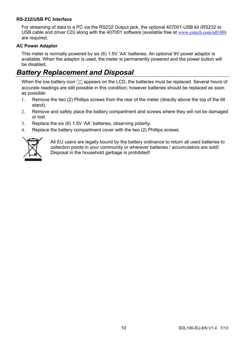#### **RS-232/USB PC Interface**

For streaming of data to a PC via the RS232 Output jack, the optional 407001-USB kit (RS232 to USB cable and driver CD) along with the 407001 software (available free at www.extech.com/sdl100) are required.

#### **AC Power Adaptor**

This meter is normally powered by six (6) 1.5V 'AA' batteries. An optional 9V power adaptor is available. When the adaptor is used, the meter is permanently powered and the power button will be disabled.

# *Battery Replacement and Disposal*

When the low battery icon  $\triangle$  appears on the LCD, the batteries must be replaced. Several hours of accurate readings are still possible in this condition; however batteries should be replaced as soon as possible:

- 1. Remove the two (2) Phillips screws from the rear of the meter (directly above the top of the tilt stand).
- 2. Remove and safely place the battery compartment and screws where they will not be damaged or lost.
- 3. Replace the six (6) 1.5V 'AA' batteries, observing polarity.
- 4. Replace the battery compartment cover with the two (2) Phillips screws.



All EU users are legally bound by the battery ordinance to return all used batteries to collection points in your community or wherever batteries / accumulators are sold! Disposal in the household garbage is prohibited!